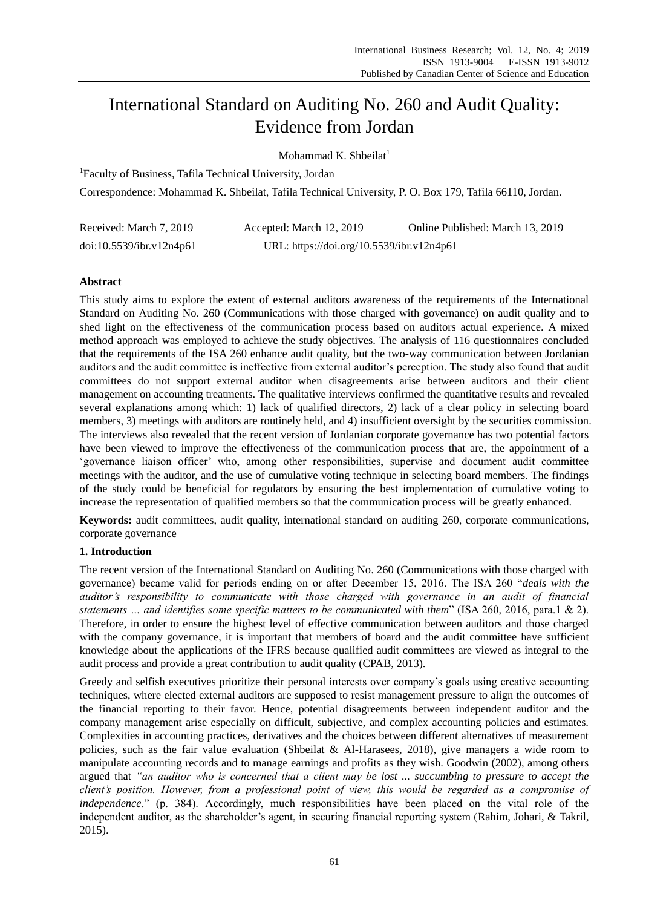# International Standard on Auditing No. 260 and Audit Quality: Evidence from Jordan

Mohammad K. Shbeilat $<sup>1</sup>$ </sup>

1 Faculty of Business, Tafila Technical University, Jordan

Correspondence: Mohammad K. Shbeilat, Tafila Technical Universit[y, P. O. Box 179, Tafila 66110, Jordan.](about:blank)

| Received: March 7, 2019  | Accepted: March 12, 2019                  | Online Published: March 13, 2019 |
|--------------------------|-------------------------------------------|----------------------------------|
| doi:10.5539/ibr.v12n4p61 | URL: https://doi.org/10.5539/ibr.v12n4p61 |                                  |

## **Abstract**

This study aims to explore the extent of external auditors awareness of the requirements of the International Standard on Auditing No. 260 (Communications with those charged with governance) on audit quality and to shed light on the effectiveness of the communication process based on auditors actual experience. A mixed method approach was employed to achieve the study objectives. The analysis of 116 questionnaires concluded that the requirements of the ISA 260 enhance audit quality, but the two-way communication between Jordanian auditors and the audit committee is ineffective from external auditor's perception. The study also found that audit committees do not support external auditor when disagreements arise between auditors and their client management on accounting treatments. The qualitative interviews confirmed the quantitative results and revealed several explanations among which: 1) lack of qualified directors, 2) lack of a clear policy in selecting board members, 3) meetings with auditors are routinely held, and 4) insufficient oversight by the securities commission. The interviews also revealed that the recent version of Jordanian corporate governance has two potential factors have been viewed to improve the effectiveness of the communication process that are, the appointment of a "governance liaison officer" who, among other responsibilities, supervise and document audit committee meetings with the auditor, and the use of cumulative voting technique in selecting board members. The findings of the study could be beneficial for regulators by ensuring the best implementation of cumulative voting to increase the representation of qualified members so that the communication process will be greatly enhanced.

**Keywords:** audit committees, audit quality, international standard on auditing 260, corporate communications, corporate governance

## **1. Introduction**

The recent version of the International Standard on Auditing No. 260 (Communications with those charged with governance) became valid for periods ending on or after December 15, 2016. The ISA 260 "*deals with the auditor's responsibility to communicate with those charged with governance in an audit of financial statements … and identifies some specific matters to be communicated with them*" (ISA 260, 2016, para.1 & 2). Therefore, in order to ensure the highest level of effective communication between auditors and those charged with the company governance, it is important that members of board and the audit committee have sufficient knowledge about the applications of the IFRS because qualified audit committees are viewed as integral to the audit process and provide a great contribution to audit quality (CPAB, 2013).

Greedy and selfish executives prioritize their personal interests over company's goals using creative accounting techniques, where elected external auditors are supposed to resist management pressure to align the outcomes of the financial reporting to their favor. Hence, potential disagreements between independent auditor and the company management arise especially on difficult, subjective, and complex accounting policies and estimates. Complexities in accounting practices, derivatives and the choices between different alternatives of measurement policies, such as the fair value evaluation (Shbeilat & Al-Harasees, 2018), give managers a wide room to manipulate accounting records and to manage earnings and profits as they wish. Goodwin (2002), among others argued that *"an auditor who is concerned that a client may be lost ... succumbing to pressure to accept the client's position. However, from a professional point of view, this would be regarded as a compromise of independence*." (p. 384). Accordingly, much responsibilities have been placed on the vital role of the independent auditor, as the shareholder's agent, in securing financial reporting system (Rahim, Johari, & Takril, [2015\).](https://www.zotero.org/google-docs/?IIhhyQ)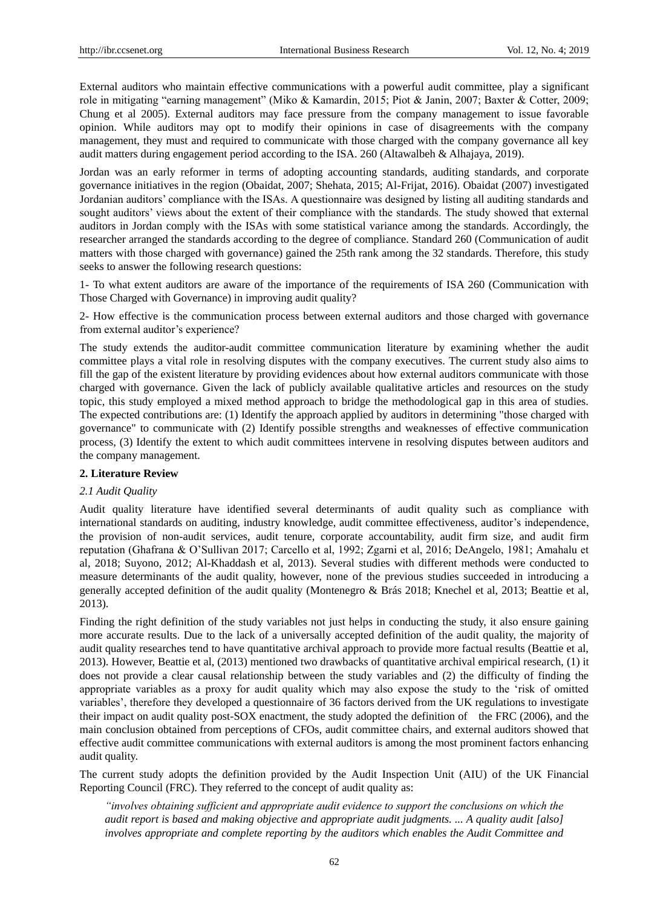External auditors who maintain effective communications with a powerful audit committee, play a significant role in mitigating "earning management" (Miko & Kamardin, 2015; Piot & Janin, 2007; Baxter & Cotter, 2009; Chung et al 2005). External auditors may face pressure from the company management to issue favorable opinion. While auditors may opt to modify their opinions in case of disagreements with the company management, they must and required to communicate with those charged with the company governance all key audit matters during engagement period according to the ISA. 260 (Altawalbeh & Alhajaya, 2019).

Jordan was an early reformer in terms of adopting accounting standards, auditing standards, and corporate governance initiatives in the region (Obaidat, 2007; Shehata, 2015; Al-Frijat, 2016). Obaidat (2007) investigated Jordanian auditors" compliance with the ISAs. A questionnaire was designed by listing all auditing standards and sought auditors' views about the extent of their compliance with the standards. The study showed that external auditors in Jordan comply with the ISAs with some statistical variance among the standards. Accordingly, the researcher arranged the standards according to the degree of compliance. Standard 260 (Communication of audit matters with those charged with governance) gained the 25th rank among the 32 standards. Therefore, this study seeks to answer the following research questions:

1- To what extent auditors are aware of the importance of the requirements of ISA 260 (Communication with Those Charged with Governance) in improving audit quality?

2- How effective is the communication process between external auditors and those charged with governance from external auditor's experience?

The study extends the auditor-audit committee communication literature by examining whether the audit committee plays a vital role in resolving disputes with the company executives. The current study also aims to fill the gap of the existent literature by providing evidences about how external auditors communicate with those charged with governance. Given the lack of publicly available qualitative articles and resources on the study topic, this study employed a mixed method approach to bridge the methodological gap in this area of studies. The expected contributions are: (1) Identify the approach applied by auditors in determining "those charged with governance" to communicate with (2) Identify possible strengths and weaknesses of effective communication process, (3) Identify the extent to which audit committees intervene in resolving disputes between auditors and the company management.

#### **2. Literature Review**

#### *2.1 Audit Quality*

Audit quality literature have identified several determinants of audit quality such as compliance with international standards on auditing, industry knowledge, audit committee effectiveness, auditor's independence, the provision of non-audit services, audit tenure, corporate accountability, audit firm size, and audit firm reputation (Ghafrana & O"Sullivan 2017; Carcello et al, 1992; Zgarni et al, 2016; DeAngelo, 1981; Amahalu et al, 2018; Suyono, 2012; Al-Khaddash et al, 2013). Several studies with different methods were conducted to measure determinants of the audit quality, however, none of the previous studies succeeded in introducing a generally accepted definition of the audit quality (Montenegro & Brás 2018; Knechel et al, 2013; Beattie et al, 2013).

Finding the right definition of the study variables not just helps in conducting the study, it also ensure gaining more accurate results. Due to the lack of a universally accepted definition of the audit quality, the majority of audit quality researches tend to have quantitative archival approach to provide more factual results (Beattie et al, 2013). However, Beattie et al, (2013) mentioned two drawbacks of quantitative archival empirical research, (1) it does not provide a clear causal relationship between the study variables and (2) the difficulty of finding the appropriate variables as a proxy for audit quality which may also expose the study to the "risk of omitted variables", therefore they developed a questionnaire of 36 factors derived from the UK regulations to investigate their impact on audit quality post-SOX enactment, the study adopted the definition of the FRC (2006), and the main conclusion obtained from perceptions of CFOs, audit committee chairs, and external auditors showed that effective audit committee communications with external auditors is among the most prominent factors enhancing audit quality.

The current study adopts the definition provided by the Audit Inspection Unit (AIU) of the UK Financial Reporting Council (FRC). They referred to the concept of audit quality as:

*"involves obtaining sufficient and appropriate audit evidence to support the conclusions on which the audit report is based and making objective and appropriate audit judgments. ... A quality audit [also] involves appropriate and complete reporting by the auditors which enables the Audit Committee and*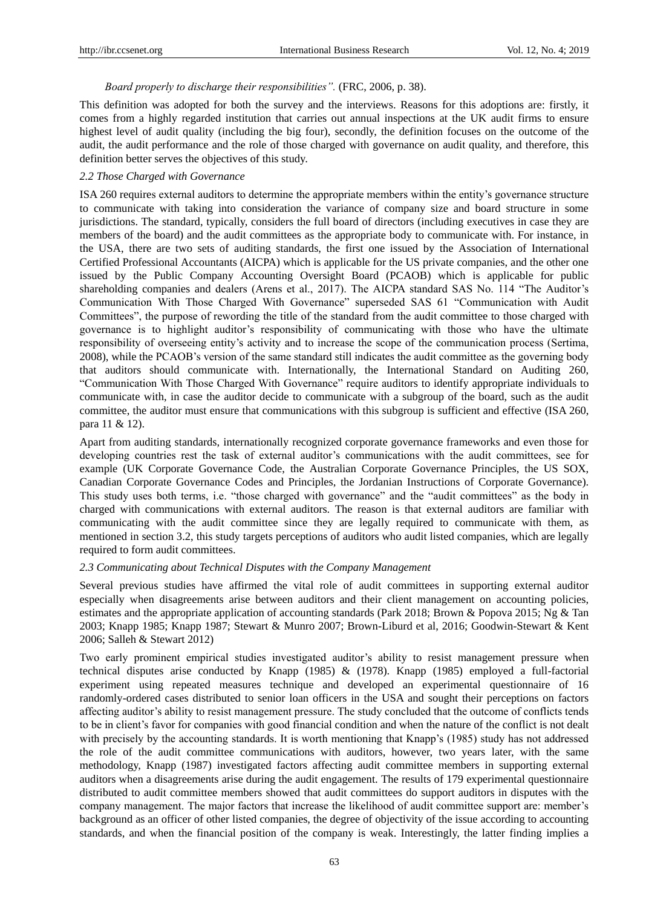### *Board properly to discharge their responsibilities".* (FRC, 2006, p. 38).

This definition was adopted for both the survey and the interviews. Reasons for this adoptions are: firstly, it comes from a highly regarded institution that carries out annual inspections at the UK audit firms to ensure highest level of audit quality (including the big four), secondly, the definition focuses on the outcome of the audit, the audit performance and the role of those charged with governance on audit quality, and therefore, this definition better serves the objectives of this study.

#### *2.2 Those Charged with Governance*

ISA 260 requires external auditors to determine the appropriate members within the entity"s governance structure to communicate with taking into consideration the variance of company size and board structure in some jurisdictions. The standard, typically, considers the full board of directors (including executives in case they are members of the board) and the audit committees as the appropriate body to communicate with. For instance, in the USA, there are two sets of auditing standards, the first one issued by the Association of International Certified Professional Accountants (AICPA) which is applicable for the US private companies, and the other one issued by the Public Company Accounting Oversight Board (PCAOB) which is applicable for public shareholding companies and dealers (Arens et al., 2017). The AICPA standard SAS No. 114 "The Auditor's Communication With Those Charged With Governance" superseded SAS 61 "Communication with Audit Committees", the purpose of rewording the title of the standard from the audit committee to those charged with governance is to highlight auditor's responsibility of communicating with those who have the ultimate responsibility of overseeing entity"s activity and to increase the scope of the communication process (Sertima, 2008), while the PCAOB"s version of the same standard still indicates the audit committee as the governing body that auditors should communicate with. Internationally, the International Standard on Auditing 260, "Communication With Those Charged With Governance" require auditors to identify appropriate individuals to communicate with, in case the auditor decide to communicate with a subgroup of the board, such as the audit committee, the auditor must ensure that communications with this subgroup is sufficient and effective (ISA 260, para 11 & 12).

Apart from auditing standards, internationally recognized corporate governance frameworks and even those for developing countries rest the task of external auditor"s communications with the audit committees, see for example (UK Corporate Governance Code, the Australian Corporate Governance Principles, the US SOX, Canadian Corporate Governance Codes and Principles, the Jordanian Instructions of Corporate Governance). This study uses both terms, i.e. "those charged with governance" and the "audit committees" as the body in charged with communications with external auditors. The reason is that external auditors are familiar with communicating with the audit committee since they are legally required to communicate with them, as mentioned in section 3.2, this study targets perceptions of auditors who audit listed companies, which are legally required to form audit committees.

#### *2.3 Communicating about Technical Disputes with the Company Management*

Several previous studies have affirmed the vital role of audit committees in supporting external auditor especially when disagreements arise between auditors and their client management on accounting policies, estimates and the appropriate application of accounting standards (Park 2018; Brown & Popova 2015; Ng & Tan 2003; Knapp 1985; Knapp 1987; Stewart & Munro 2007; Brown-Liburd et al, 2016; Goodwin-Stewart & Kent 2006; Salleh & Stewart 2012)

Two early prominent empirical studies investigated auditor's ability to resist management pressure when technical disputes arise conducted by Knapp (1985) & (1978). Knapp (1985) employed a full-factorial experiment using repeated measures technique and developed an experimental questionnaire of 16 randomly-ordered cases distributed to senior loan officers in the USA and sought their perceptions on factors affecting auditor"s ability to resist management pressure. The study concluded that the outcome of conflicts tends to be in client"s favor for companies with good financial condition and when the nature of the conflict is not dealt with precisely by the accounting standards. It is worth mentioning that Knapp's (1985) study has not addressed the role of the audit committee communications with auditors, however, two years later, with the same methodology, Knapp (1987) investigated factors affecting audit committee members in supporting external auditors when a disagreements arise during the audit engagement. The results of 179 experimental questionnaire distributed to audit committee members showed that audit committees do support auditors in disputes with the company management. The major factors that increase the likelihood of audit committee support are: member"s background as an officer of other listed companies, the degree of objectivity of the issue according to accounting standards, and when the financial position of the company is weak. Interestingly, the latter finding implies a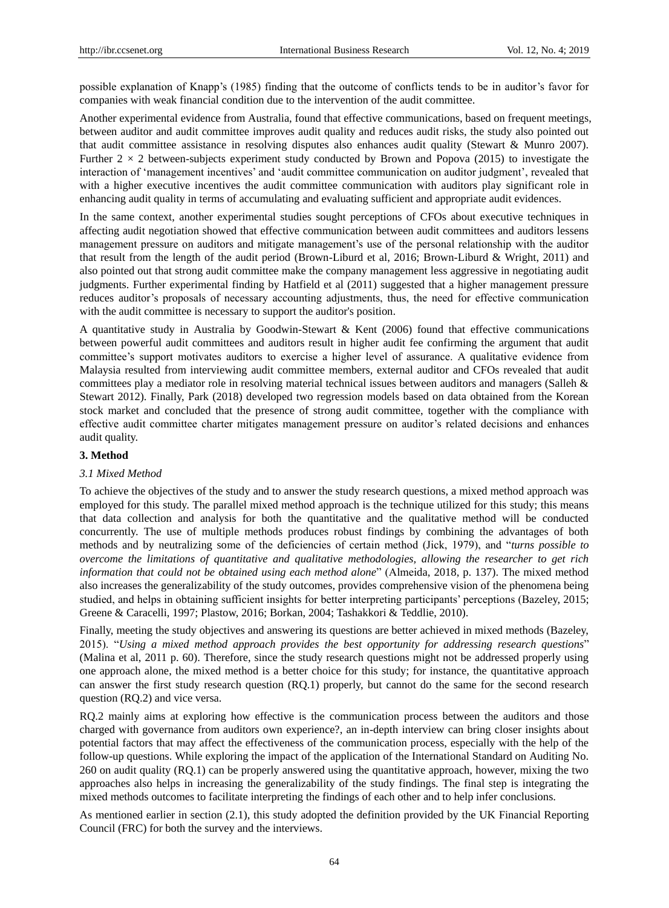possible explanation of Knapp's (1985) finding that the outcome of conflicts tends to be in auditor's favor for companies with weak financial condition due to the intervention of the audit committee.

Another experimental evidence from Australia, found that effective communications, based on frequent meetings, between auditor and audit committee improves audit quality and reduces audit risks, the study also pointed out that audit committee assistance in resolving disputes also enhances audit quality (Stewart & Munro 2007). Further  $2 \times 2$  between-subjects experiment study conducted by Brown and Popova (2015) to investigate the interaction of "management incentives" and "audit committee communication on auditor judgment", revealed that with a higher executive incentives the audit committee communication with auditors play significant role in enhancing audit quality in terms of accumulating and evaluating sufficient and appropriate audit evidences.

In the same context, another experimental studies sought perceptions of CFOs about executive techniques in affecting audit negotiation showed that effective communication between audit committees and auditors lessens management pressure on auditors and mitigate management"s use of the personal relationship with the auditor that result from the length of the audit period (Brown-Liburd et al, 2016; Brown-Liburd & Wright, 2011) and also pointed out that strong audit committee make the company management less aggressive in negotiating audit judgments. Further experimental finding by Hatfield et al (2011) suggested that a higher management pressure reduces auditor's proposals of necessary accounting adjustments, thus, the need for effective communication with the audit committee is necessary to support the auditor's position.

A quantitative study in Australia by Goodwin-Stewart & Kent (2006) found that effective communications between powerful audit committees and auditors result in higher audit fee confirming the argument that audit committee"s support motivates auditors to exercise a higher level of assurance. A qualitative evidence from Malaysia resulted from interviewing audit committee members, external auditor and CFOs revealed that audit committees play a mediator role in resolving material technical issues between auditors and managers (Salleh & Stewart 2012). Finally, Park (2018) developed two regression models based on data obtained from the Korean stock market and concluded that the presence of strong audit committee, together with the compliance with effective audit committee charter mitigates management pressure on auditor's related decisions and enhances audit quality.

## **3. Method**

# *3.1 Mixed Method*

To achieve the objectives of the study and to answer the study research questions, a mixed method approach was employed for this study. The parallel mixed method approach is the technique utilized for this study; this means that data collection and analysis for both the quantitative and the qualitative method will be conducted concurrently. The use of multiple methods produces robust findings by combining the advantages of both methods and by neutralizing some of the deficiencies of certain method (Jick, 1979), and "*turns possible to overcome the limitations of quantitative and qualitative methodologies, allowing the researcher to get rich information that could not be obtained using each method alone*" (Almeida, 2018, p. 137). The mixed method also increases the generalizability of the study outcomes, provides comprehensive vision of the phenomena being studied, and helps in obtaining sufficient insights for better interpreting participants" perceptions (Bazeley, 2015; Greene & Caracelli, 1997; Plastow, 2016; Borkan, 2004; Tashakkori & Teddlie, 2010).

Finally, meeting the study objectives and answering its questions are better achieved in mixed methods (Bazeley, 2015). "*Using a mixed method approach provides the best opportunity for addressing research questions*" (Malina et al, 2011 p. 60). Therefore, since the study research questions might not be addressed properly using one approach alone, the mixed method is a better choice for this study; for instance, the quantitative approach can answer the first study research question (RQ.1) properly, but cannot do the same for the second research question (RQ.2) and vice versa.

RQ.2 mainly aims at exploring how effective is the communication process between the auditors and those charged with governance from auditors own experience?, an in-depth interview can bring closer insights about potential factors that may affect the effectiveness of the communication process, especially with the help of the follow-up questions. While exploring the impact of the application of the International Standard on Auditing No. 260 on audit quality (RQ.1) can be properly answered using the quantitative approach, however, mixing the two approaches also helps in increasing the generalizability of the study findings. The final step is integrating the mixed methods outcomes to facilitate interpreting the findings of each other and to help infer conclusions.

As mentioned earlier in section (2.1), this study adopted the definition provided by the UK Financial Reporting Council (FRC) for both the survey and the interviews.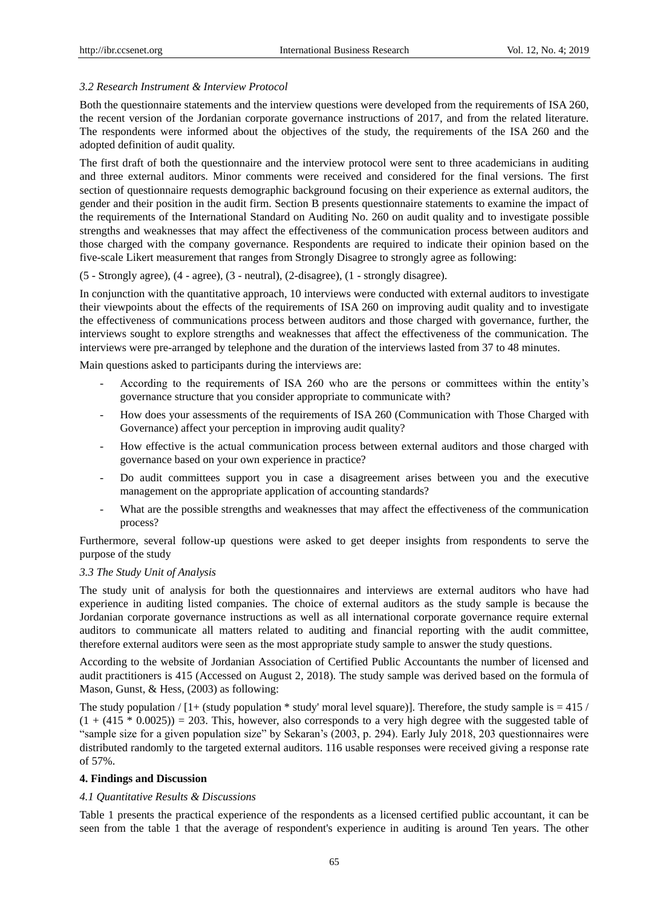#### *3.2 Research Instrument & Interview Protocol*

Both the questionnaire statements and the interview questions were developed from the requirements of ISA 260, the recent version of the Jordanian corporate governance instructions of 2017, and from the related literature. The respondents were informed about the objectives of the study, the requirements of the ISA 260 and the adopted definition of audit quality.

The first draft of both the questionnaire and the interview protocol were sent to three academicians in auditing and three external auditors. Minor comments were received and considered for the final versions. The first section of questionnaire requests demographic background focusing on their experience as external auditors, the gender and their position in the audit firm. Section B presents questionnaire statements to examine the impact of the requirements of the International Standard on Auditing No. 260 on audit quality and to investigate possible strengths and weaknesses that may affect the effectiveness of the communication process between auditors and those charged with the company governance. Respondents are required to indicate their opinion based on the five-scale Likert measurement that ranges from Strongly Disagree to strongly agree as following:

(5 - Strongly agree), (4 - agree), (3 - neutral), (2-disagree), (1 - strongly disagree).

In conjunction with the quantitative approach, 10 interviews were conducted with external auditors to investigate their viewpoints about the effects of the requirements of ISA 260 on improving audit quality and to investigate the effectiveness of communications process between auditors and those charged with governance, further, the interviews sought to explore strengths and weaknesses that affect the effectiveness of the communication. The interviews were pre-arranged by telephone and the duration of the interviews lasted from 37 to 48 minutes.

Main questions asked to participants during the interviews are:

- According to the requirements of ISA 260 who are the persons or committees within the entity"s governance structure that you consider appropriate to communicate with?
- How does your assessments of the requirements of ISA 260 (Communication with Those Charged with Governance) affect your perception in improving audit quality?
- How effective is the actual communication process between external auditors and those charged with governance based on your own experience in practice?
- Do audit committees support you in case a disagreement arises between you and the executive management on the appropriate application of accounting standards?
- What are the possible strengths and weaknesses that may affect the effectiveness of the communication process?

Furthermore, several follow-up questions were asked to get deeper insights from respondents to serve the purpose of the study

## *3.3 The Study Unit of Analysis*

The study unit of analysis for both the questionnaires and interviews are external auditors who have had experience in auditing listed companies. The choice of external auditors as the study sample is because the Jordanian corporate governance instructions as well as all international corporate governance require external auditors to communicate all matters related to auditing and financial reporting with the audit committee, therefore external auditors were seen as the most appropriate study sample to answer the study questions.

According to the website of Jordanian Association of Certified Public Accountants the number of licensed and audit practitioners is 415 (Accessed on August 2, 2018). The study sample was derived based on the formula of Mason, Gunst, & Hess, (2003) as following:

The study population  $/$  [1+ (study population  $*$  study' moral level square)]. Therefore, the study sample is  $=$  415  $/$  $(1 + (415 * 0.0025)) = 203$ . This, however, also corresponds to a very high degree with the suggested table of "sample size for a given population size" by Sekaran"s (2003, p. 294). Early July 2018, 203 questionnaires were distributed randomly to the targeted external auditors. 116 usable responses were received giving a response rate of 57%.

## **4. Findings and Discussion**

#### *4.1 Quantitative Results & Discussions*

Table 1 presents the practical experience of the respondents as a licensed certified public accountant, it can be seen from the table 1 that the average of respondent's experience in auditing is around Ten years. The other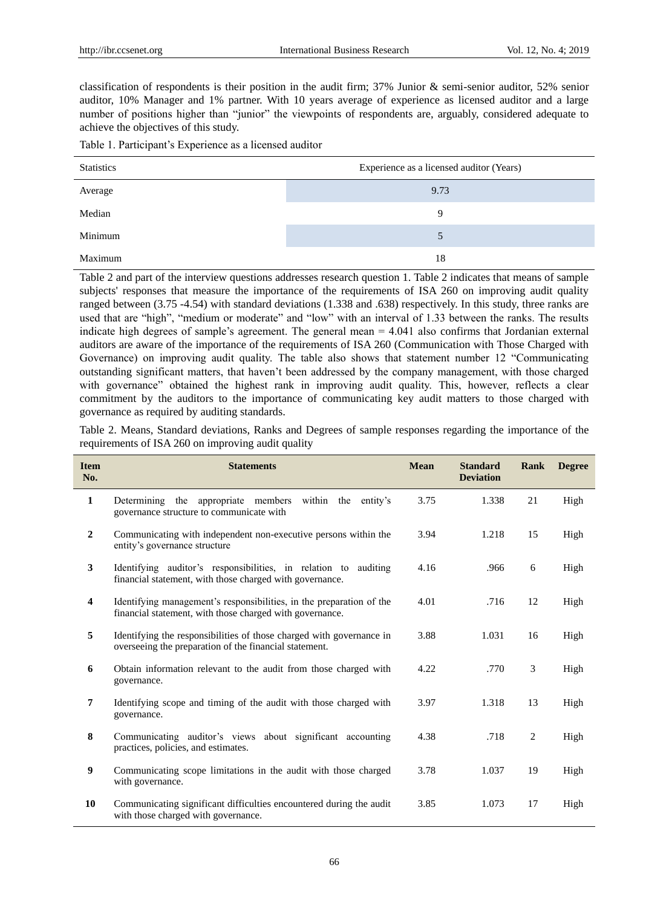classification of respondents is their position in the audit firm; 37% Junior & semi-senior auditor, 52% senior auditor, 10% Manager and 1% partner. With 10 years average of experience as licensed auditor and a large number of positions higher than "junior" the viewpoints of respondents are, arguably, considered adequate to achieve the objectives of this study.

Table 1. Participant"s Experience as a licensed auditor

| <b>Statistics</b> | Experience as a licensed auditor (Years) |
|-------------------|------------------------------------------|
| Average           | 9.73                                     |
| Median            | 9                                        |
| Minimum           |                                          |
| Maximum           | 18                                       |

Table 2 and part of the interview questions addresses research question 1. Table 2 indicates that means of sample subjects' responses that measure the importance of the requirements of ISA 260 on improving audit quality ranged between (3.75 -4.54) with standard deviations (1.338 and .638) respectively. In this study, three ranks are used that are "high", "medium or moderate" and "low" with an interval of 1.33 between the ranks. The results indicate high degrees of sample's agreement. The general mean  $= 4.041$  also confirms that Jordanian external auditors are aware of the importance of the requirements of ISA 260 (Communication with Those Charged with Governance) on improving audit quality. The table also shows that statement number 12 "Communicating outstanding significant matters, that haven"t been addressed by the company management, with those charged with governance" obtained the highest rank in improving audit quality. This, however, reflects a clear commitment by the auditors to the importance of communicating key audit matters to those charged with governance as required by auditing standards.

Table 2. Means, Standard deviations, Ranks and Degrees of sample responses regarding the importance of the requirements of ISA 260 on improving audit quality

| <b>Item</b><br>No. | <b>Statements</b>                                                                                                                | <b>Mean</b> | <b>Standard</b><br><b>Deviation</b> | Rank | <b>Degree</b> |
|--------------------|----------------------------------------------------------------------------------------------------------------------------------|-------------|-------------------------------------|------|---------------|
| $\mathbf{1}$       | Determining the appropriate members within the<br>entity's<br>governance structure to communicate with                           | 3.75        | 1.338                               | 21   | High          |
| $\overline{2}$     | Communicating with independent non-executive persons within the<br>entity's governance structure                                 | 3.94        | 1.218                               | 15   | High          |
| 3                  | Identifying auditor's responsibilities, in relation to auditing<br>financial statement, with those charged with governance.      | 4.16        | .966                                | 6    | High          |
| 4                  | Identifying management's responsibilities, in the preparation of the<br>financial statement, with those charged with governance. | 4.01        | .716                                | 12   | High          |
| 5                  | Identifying the responsibilities of those charged with governance in<br>overseeing the preparation of the financial statement.   | 3.88        | 1.031                               | 16   | High          |
| 6                  | Obtain information relevant to the audit from those charged with<br>governance.                                                  | 4.22        | .770                                | 3    | High          |
| $\overline{7}$     | Identifying scope and timing of the audit with those charged with<br>governance.                                                 | 3.97        | 1.318                               | 13   | High          |
| 8                  | Communicating auditor's views about significant accounting<br>practices, policies, and estimates.                                | 4.38        | .718                                | 2    | High          |
| 9                  | Communicating scope limitations in the audit with those charged<br>with governance.                                              | 3.78        | 1.037                               | 19   | High          |
| 10                 | Communicating significant difficulties encountered during the audit<br>with those charged with governance.                       | 3.85        | 1.073                               | 17   | High          |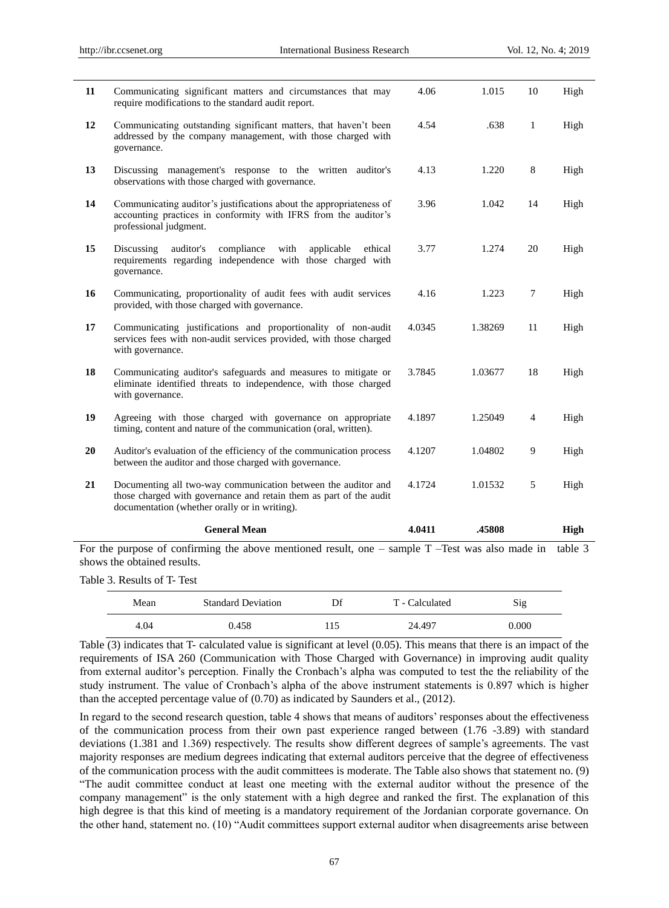|    | <b>General Mean</b><br>For the purpose of confirming the above mentioned result, one $-$ sample $T$ -Test was also made in                                                           | 4.0411 | .45808  |                | <b>High</b><br>table 3 |
|----|--------------------------------------------------------------------------------------------------------------------------------------------------------------------------------------|--------|---------|----------------|------------------------|
| 21 | Documenting all two-way communication between the auditor and<br>those charged with governance and retain them as part of the audit<br>documentation (whether orally or in writing). | 4.1724 | 1.01532 | 5              | High                   |
| 20 | Auditor's evaluation of the efficiency of the communication process<br>between the auditor and those charged with governance.                                                        | 4.1207 | 1.04802 | 9              | High                   |
| 19 | Agreeing with those charged with governance on appropriate<br>timing, content and nature of the communication (oral, written).                                                       | 4.1897 | 1.25049 | $\overline{4}$ | High                   |
| 18 | Communicating auditor's safeguards and measures to mitigate or<br>eliminate identified threats to independence, with those charged<br>with governance.                               | 3.7845 | 1.03677 | 18             | High                   |
| 17 | Communicating justifications and proportionality of non-audit<br>services fees with non-audit services provided, with those charged<br>with governance.                              | 4.0345 | 1.38269 | 11             | High                   |
| 16 | Communicating, proportionality of audit fees with audit services<br>provided, with those charged with governance.                                                                    | 4.16   | 1.223   | 7              | High                   |
| 15 | auditor's<br>compliance<br>Discussing<br>with<br>applicable<br>ethical<br>requirements regarding independence with those charged with<br>governance.                                 | 3.77   | 1.274   | 20             | High                   |
| 14 | Communicating auditor's justifications about the appropriateness of<br>accounting practices in conformity with IFRS from the auditor's<br>professional judgment.                     | 3.96   | 1.042   | 14             | High                   |
| 13 | Discussing management's response to the written auditor's<br>observations with those charged with governance.                                                                        | 4.13   | 1.220   | $\,8$          | High                   |
| 12 | Communicating outstanding significant matters, that haven't been<br>addressed by the company management, with those charged with<br>governance.                                      | 4.54   | .638    | $\mathbf{1}$   | High                   |
| 11 | Communicating significant matters and circumstances that may<br>require modifications to the standard audit report.                                                                  | 4.06   | 1.015   | 10             | High                   |

shows the obtained results. Table 3. Results of T- Test

| Mean | <b>Standard Deviation</b> | Df  | T - Calculated | Sig   |
|------|---------------------------|-----|----------------|-------|
| 4.04 | 0.458                     | 115 | 24.497         | 0.000 |

Table (3) indicates that T- calculated value is significant at level (0.05). This means that there is an impact of the requirements of ISA 260 (Communication with Those Charged with Governance) in improving audit quality from external auditor's perception. Finally the Cronbach's alpha was computed to test the the reliability of the study instrument. The value of Cronbach"s alpha of the above instrument statements is 0.897 which is higher than the accepted percentage value of (0.70) as indicated by Saunders et al., (2012).

In regard to the second research question, table 4 shows that means of auditors" responses about the effectiveness of the communication process from their own past experience ranged between (1.76 -3.89) with standard deviations (1.381 and 1.369) respectively. The results show different degrees of sample's agreements. The vast majority responses are medium degrees indicating that external auditors perceive that the degree of effectiveness of the communication process with the audit committees is moderate. The Table also shows that statement no. (9) "The audit committee conduct at least one meeting with the external auditor without the presence of the company management" is the only statement with a high degree and ranked the first. The explanation of this high degree is that this kind of meeting is a mandatory requirement of the Jordanian corporate governance. On the other hand, statement no. (10) "Audit committees support external auditor when disagreements arise between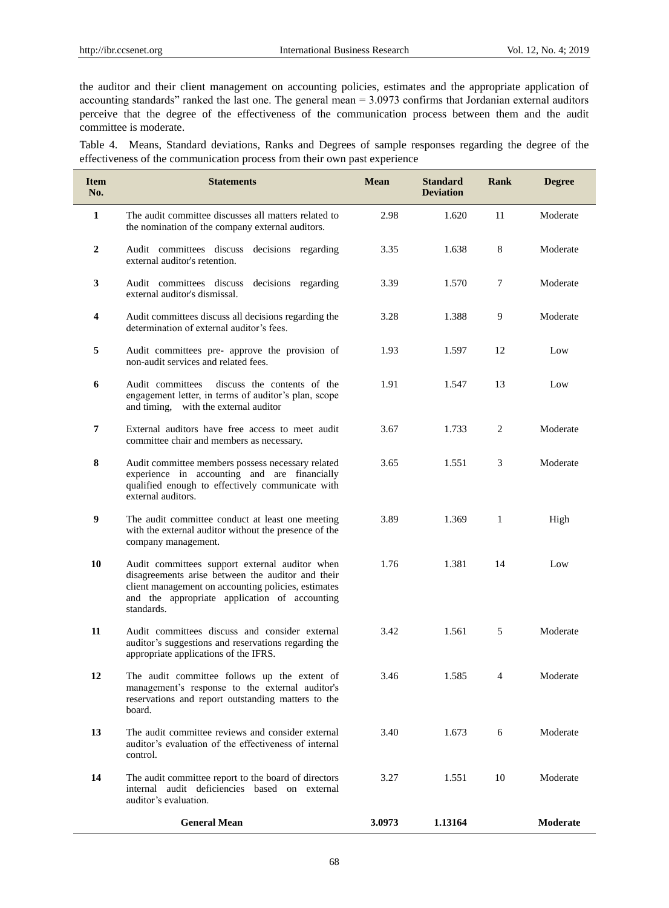the auditor and their client management on accounting policies, estimates and the appropriate application of accounting standards" ranked the last one. The general mean = 3.0973 confirms that Jordanian external auditors perceive that the degree of the effectiveness of the communication process between them and the audit committee is moderate.

Table 4. Means, Standard deviations, Ranks and Degrees of sample responses regarding the degree of the effectiveness of the communication process from their own past experience

| <b>Item</b><br>No. | <b>Statements</b>                                                                                                                                                                                                         | <b>Mean</b> | <b>Standard</b><br><b>Deviation</b> | Rank | <b>Degree</b> |
|--------------------|---------------------------------------------------------------------------------------------------------------------------------------------------------------------------------------------------------------------------|-------------|-------------------------------------|------|---------------|
| 1                  | The audit committee discusses all matters related to<br>the nomination of the company external auditors.                                                                                                                  | 2.98        | 1.620                               | 11   | Moderate      |
| $\mathbf{2}$       | Audit committees discuss decisions regarding<br>external auditor's retention.                                                                                                                                             | 3.35        | 1.638                               | 8    | Moderate      |
| 3                  | Audit committees discuss decisions regarding<br>external auditor's dismissal.                                                                                                                                             | 3.39        | 1.570                               | 7    | Moderate      |
| 4                  | Audit committees discuss all decisions regarding the<br>determination of external auditor's fees.                                                                                                                         | 3.28        | 1.388                               | 9    | Moderate      |
| 5                  | Audit committees pre- approve the provision of<br>non-audit services and related fees.                                                                                                                                    | 1.93        | 1.597                               | 12   | Low           |
| 6                  | Audit committees<br>discuss the contents of the<br>engagement letter, in terms of auditor's plan, scope<br>and timing, with the external auditor                                                                          | 1.91        | 1.547                               | 13   | Low           |
| 7                  | External auditors have free access to meet audit<br>committee chair and members as necessary.                                                                                                                             | 3.67        | 1.733                               | 2    | Moderate      |
| 8                  | Audit committee members possess necessary related<br>experience in accounting and are financially<br>qualified enough to effectively communicate with<br>external auditors.                                               | 3.65        | 1.551                               | 3    | Moderate      |
| 9                  | The audit committee conduct at least one meeting<br>with the external auditor without the presence of the<br>company management.                                                                                          | 3.89        | 1.369                               | 1    | High          |
| 10                 | Audit committees support external auditor when<br>disagreements arise between the auditor and their<br>client management on accounting policies, estimates<br>and the appropriate application of accounting<br>standards. | 1.76        | 1.381                               | 14   | Low           |
| 11                 | Audit committees discuss and consider external<br>auditor's suggestions and reservations regarding the<br>appropriate applications of the IFRS.                                                                           | 3.42        | 1.561                               | 5    | Moderate      |
| 12                 | The audit committee follows up the extent of<br>management's response to the external auditor's<br>reservations and report outstanding matters to the<br>board.                                                           | 3.46        | 1.585                               | 4    | Moderate      |
| 13                 | The audit committee reviews and consider external<br>auditor's evaluation of the effectiveness of internal<br>control.                                                                                                    | 3.40        | 1.673                               | 6    | Moderate      |
| 14                 | The audit committee report to the board of directors<br>internal audit deficiencies based on external<br>auditor's evaluation.                                                                                            | 3.27        | 1.551                               | 10   | Moderate      |
|                    | <b>General Mean</b>                                                                                                                                                                                                       | 3.0973      | 1.13164                             |      | Moderate      |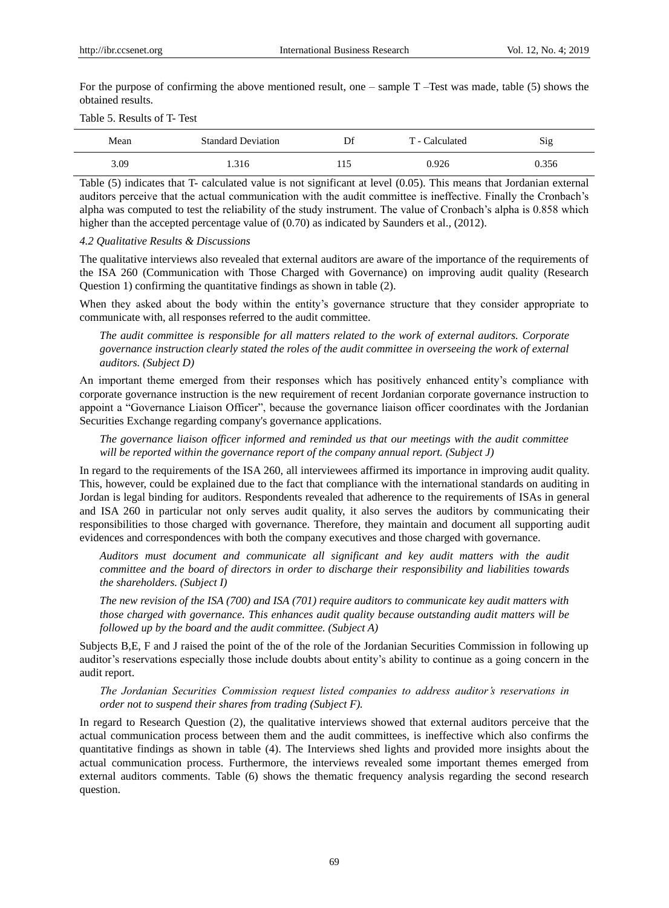For the purpose of confirming the above mentioned result, one – sample  $T$  –Test was made, table (5) shows the obtained results.

## Table 5. Results of T- Test

| Mean | <b>Standard Deviation</b> | Df    | T - Calculated | Sig   |
|------|---------------------------|-------|----------------|-------|
| 3.09 | 1.316                     | 1 I J | ).926          | 0.356 |

Table (5) indicates that T- calculated value is not significant at level (0.05). This means that Jordanian external auditors perceive that the actual communication with the audit committee is ineffective. Finally the Cronbach"s alpha was computed to test the reliability of the study instrument. The value of Cronbach's alpha is 0.858 which higher than the accepted percentage value of  $(0.70)$  as indicated by Saunders et al., (2012).

#### *4.2 Qualitative Results & Discussions*

The qualitative interviews also revealed that external auditors are aware of the importance of the requirements of the ISA 260 (Communication with Those Charged with Governance) on improving audit quality (Research Question 1) confirming the quantitative findings as shown in table (2).

When they asked about the body within the entity's governance structure that they consider appropriate to communicate with, all responses referred to the audit committee.

*The audit committee is responsible for all matters related to the work of external auditors. Corporate governance instruction clearly stated the roles of the audit committee in overseeing the work of external auditors. (Subject D)*

An important theme emerged from their responses which has positively enhanced entity"s compliance with corporate governance instruction is the new requirement of recent Jordanian corporate governance instruction to appoint a "Governance Liaison Officer", because the governance liaison officer coordinates with the Jordanian Securities Exchange regarding company's governance applications.

*The governance liaison officer informed and reminded us that our meetings with the audit committee will be reported within the governance report of the company annual report. (Subject J)*

In regard to the requirements of the ISA 260, all interviewees affirmed its importance in improving audit quality. This, however, could be explained due to the fact that compliance with the international standards on auditing in Jordan is legal binding for auditors. Respondents revealed that adherence to the requirements of ISAs in general and ISA 260 in particular not only serves audit quality, it also serves the auditors by communicating their responsibilities to those charged with governance. Therefore, they maintain and document all supporting audit evidences and correspondences with both the company executives and those charged with governance.

*Auditors must document and communicate all significant and key audit matters with the audit committee and the board of directors in order to discharge their responsibility and liabilities towards the shareholders. (Subject I)*

*The new revision of the ISA (700) and ISA (701) require auditors to communicate key audit matters with those charged with governance. This enhances audit quality because outstanding audit matters will be followed up by the board and the audit committee. (Subject A)*

Subjects B,E, F and J raised the point of the of the role of the Jordanian Securities Commission in following up auditor"s reservations especially those include doubts about entity"s ability to continue as a going concern in the audit report.

*The Jordanian Securities Commission request listed companies to address auditor's reservations in order not to suspend their shares from trading (Subject F).*

In regard to Research Question (2), the qualitative interviews showed that external auditors perceive that the actual communication process between them and the audit committees, is ineffective which also confirms the quantitative findings as shown in table (4). The Interviews shed lights and provided more insights about the actual communication process. Furthermore, the interviews revealed some important themes emerged from external auditors comments. Table (6) shows the thematic frequency analysis regarding the second research question.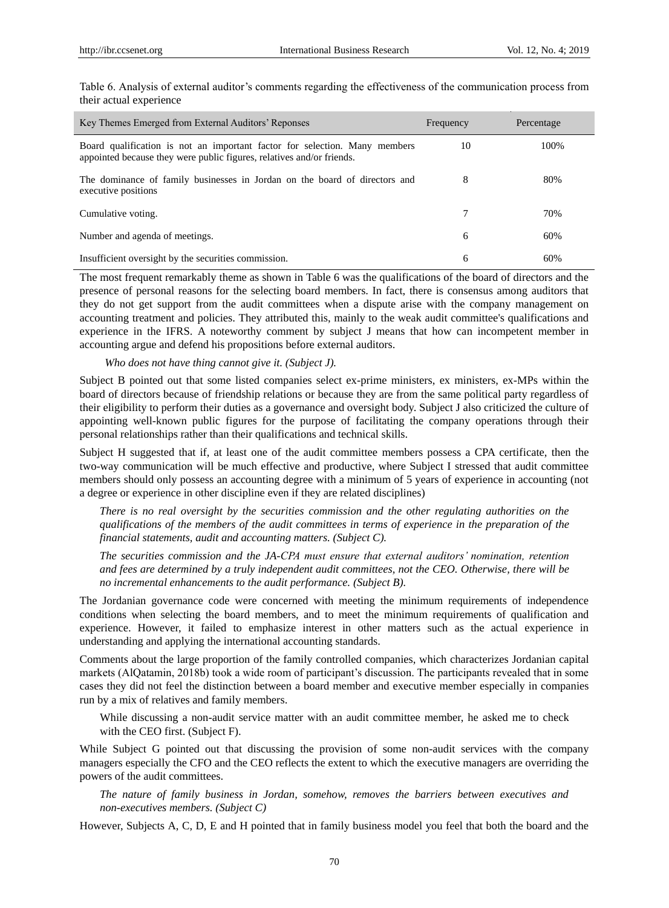| Key Themes Emerged from External Auditors' Reponses                                                                                                 | Frequency | Percentage |
|-----------------------------------------------------------------------------------------------------------------------------------------------------|-----------|------------|
| Board qualification is not an important factor for selection. Many members<br>appointed because they were public figures, relatives and/or friends. | 10        | 100%       |
| The dominance of family businesses in Jordan on the board of directors and<br>executive positions                                                   | 8         | 80%        |
| Cumulative voting.                                                                                                                                  | 7         | 70%        |
| Number and agenda of meetings.                                                                                                                      | 6         | 60%        |
| Insufficient oversight by the securities commission.                                                                                                | 6         | 60%        |

Table 6. Analysis of external auditor's comments regarding the effectiveness of the communication process from their actual experience

The most frequent remarkably theme as shown in Table 6 was the qualifications of the board of directors and the presence of personal reasons for the selecting board members. In fact, there is consensus among auditors that they do not get support from the audit committees when a dispute arise with the company management on accounting treatment and policies. They attributed this, mainly to the weak audit committee's qualifications and experience in the IFRS. A noteworthy comment by subject J means that how can incompetent member in accounting argue and defend his propositions before external auditors.

*Who does not have thing cannot give it. (Subject J).*

Subject B pointed out that some listed companies select ex-prime ministers, ex ministers, ex-MPs within the board of directors because of friendship relations or because they are from the same political party regardless of their eligibility to perform their duties as a governance and oversight body. Subject J also criticized the culture of appointing well-known public figures for the purpose of facilitating the company operations through their personal relationships rather than their qualifications and technical skills.

Subject H suggested that if, at least one of the audit committee members possess a CPA certificate, then the two-way communication will be much effective and productive, where Subject I stressed that audit committee members should only possess an accounting degree with a minimum of 5 years of experience in accounting (not a degree or experience in other discipline even if they are related disciplines)

*There is no real oversight by the securities commission and the other regulating authorities on the qualifications of the members of the audit committees in terms of experience in the preparation of the financial statements, audit and accounting matters. (Subject C).* 

*The securities commission and the JA-CPA must ensure that external auditors' nomination, retention and fees are determined by a truly independent audit committees, not the CEO. Otherwise, there will be no incremental enhancements to the audit performance. (Subject B).* 

The Jordanian governance code were concerned with meeting the minimum requirements of independence conditions when selecting the board members, and to meet the minimum requirements of qualification and experience. However, it failed to emphasize interest in other matters such as the actual experience in understanding and applying the international accounting standards.

Comments about the large proportion of the family controlled companies, which characterizes Jordanian capital markets (AlQatamin, 2018b) took a wide room of participant's discussion. The participants revealed that in some cases they did not feel the distinction between a board member and executive member especially in companies run by a mix of relatives and family members.

While discussing a non-audit service matter with an audit committee member, he asked me to check with the CEO first. (Subject F).

While Subject G pointed out that discussing the provision of some non-audit services with the company managers especially the CFO and the CEO reflects the extent to which the executive managers are overriding the powers of the audit committees.

*The nature of family business in Jordan, somehow, removes the barriers between executives and non-executives members. (Subject C)*

However, Subjects A, C, D, E and H pointed that in family business model you feel that both the board and the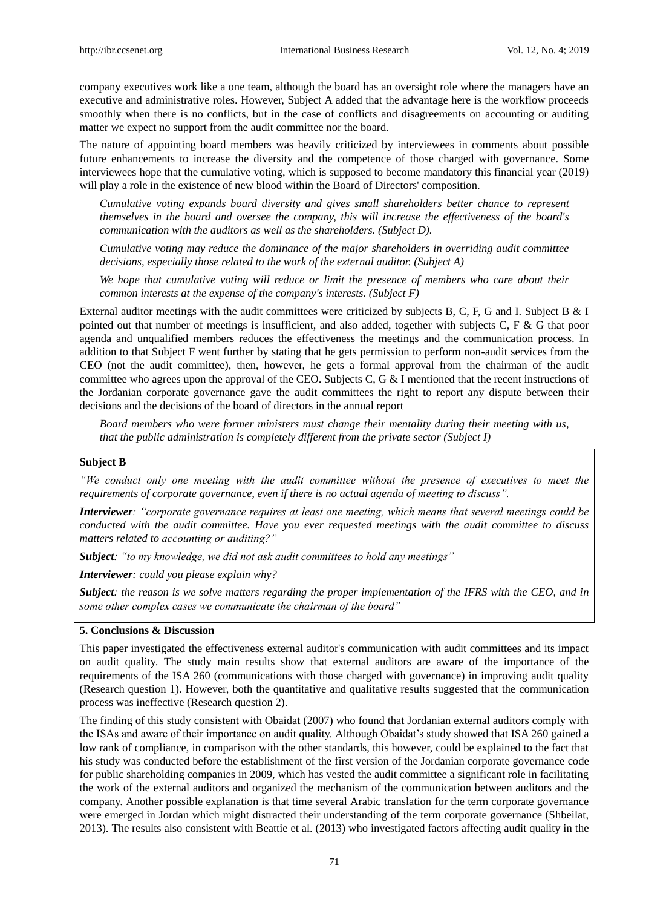company executives work like a one team, although the board has an oversight role where the managers have an executive and administrative roles. However, Subject A added that the advantage here is the workflow proceeds smoothly when there is no conflicts, but in the case of conflicts and disagreements on accounting or auditing matter we expect no support from the audit committee nor the board.

The nature of appointing board members was heavily criticized by interviewees in comments about possible future enhancements to increase the diversity and the competence of those charged with governance. Some interviewees hope that the cumulative voting, which is supposed to become mandatory this financial year (2019) will play a role in the existence of new blood within the Board of Directors' composition.

*Cumulative voting expands board diversity and gives small shareholders better chance to represent themselves in the board and oversee the company, this will increase the effectiveness of the board's communication with the auditors as well as the shareholders. (Subject D).*

*Cumulative voting may reduce the dominance of the major shareholders in overriding audit committee decisions, especially those related to the work of the external auditor. (Subject A)*

*We hope that cumulative voting will reduce or limit the presence of members who care about their common interests at the expense of the company's interests. (Subject F)*

External auditor meetings with the audit committees were criticized by subjects B, C, F, G and I. Subject B & I pointed out that number of meetings is insufficient, and also added, together with subjects C, F & G that poor agenda and unqualified members reduces the effectiveness the meetings and the communication process. In addition to that Subject F went further by stating that he gets permission to perform non-audit services from the CEO (not the audit committee), then, however, he gets a formal approval from the chairman of the audit committee who agrees upon the approval of the CEO. Subjects C, G & I mentioned that the recent instructions of the Jordanian corporate governance gave the audit committees the right to report any dispute between their decisions and the decisions of the board of directors in the annual report

*Board members who were former ministers must change their mentality during their meeting with us, that the public administration is completely different from the private sector (Subject I)*

#### **Subject B**

*"We conduct only one meeting with the audit committee without the presence of executives to meet the requirements of corporate governance, even if there is no actual agenda of meeting to discuss".*

*Interviewer: "corporate governance requires at least one meeting, which means that several meetings could be conducted with the audit committee. Have you ever requested meetings with the audit committee to discuss matters related to accounting or auditing?"*

*Subject: "to my knowledge, we did not ask audit committees to hold any meetings"*

*Interviewer: could you please explain why?*

*Subject: the reason is we solve matters regarding the proper implementation of the IFRS with the CEO, and in some other complex cases we communicate the chairman of the board"*

## **5. Conclusions & Discussion**

This paper investigated the effectiveness external auditor's communication with audit committees and its impact on audit quality. The study main results show that external auditors are aware of the importance of the requirements of the ISA 260 (communications with those charged with governance) in improving audit quality (Research question 1). However, both the quantitative and qualitative results suggested that the communication process was ineffective (Research question 2).

The finding of this study consistent with Obaidat (2007) who found that Jordanian external auditors comply with the ISAs and aware of their importance on audit quality. Although Obaidat"s study showed that ISA 260 gained a low rank of compliance, in comparison with the other standards, this however, could be explained to the fact that his study was conducted before the establishment of the first version of the Jordanian corporate governance code for public shareholding companies in 2009, which has vested the audit committee a significant role in facilitating the work of the external auditors and organized the mechanism of the communication between auditors and the company. Another possible explanation is that time several Arabic translation for the term corporate governance were emerged in Jordan which might distracted their understanding of the term corporate governance (Shbeilat, 2013). The results also consistent with Beattie et al. (2013) who investigated factors affecting audit quality in the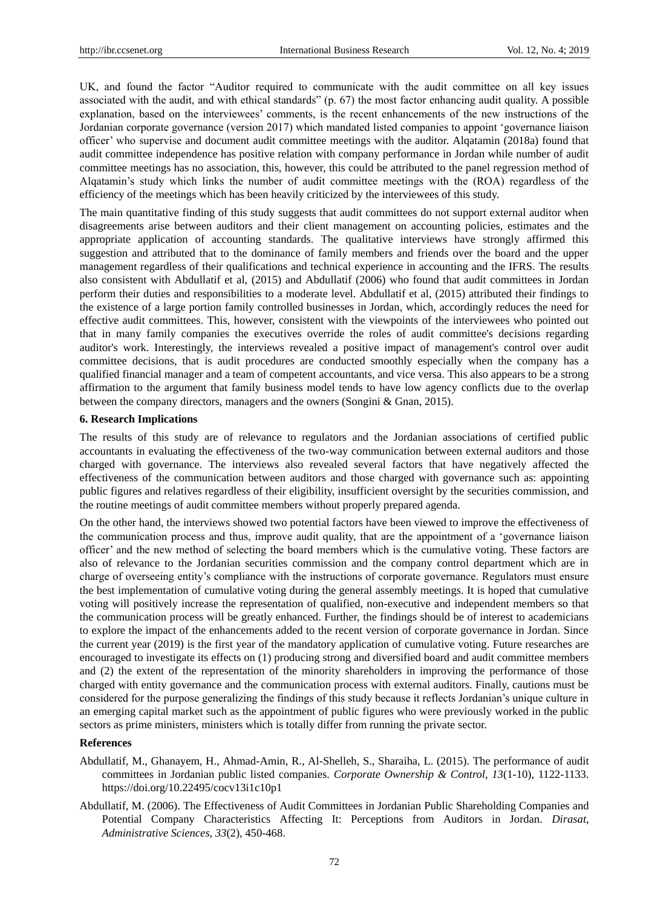UK, and found the factor "Auditor required to communicate with the audit committee on all key issues associated with the audit, and with ethical standards" (p. 67) the most factor enhancing audit quality. A possible explanation, based on the interviewees" comments, is the recent enhancements of the new instructions of the Jordanian corporate governance (version 2017) which mandated listed companies to appoint "governance liaison officer" who supervise and document audit committee meetings with the auditor. Alqatamin (2018a) found that audit committee independence has positive relation with company performance in Jordan while number of audit committee meetings has no association, this, however, this could be attributed to the panel regression method of Alqatamin"s study which links the number of audit committee meetings with the (ROA) regardless of the efficiency of the meetings which has been heavily criticized by the interviewees of this study.

The main quantitative finding of this study suggests that audit committees do not support external auditor when disagreements arise between auditors and their client management on accounting policies, estimates and the appropriate application of accounting standards. The qualitative interviews have strongly affirmed this suggestion and attributed that to the dominance of family members and friends over the board and the upper management regardless of their qualifications and technical experience in accounting and the IFRS. The results also consistent with Abdullatif et al, (2015) and Abdullatif (2006) who found that audit committees in Jordan perform their duties and responsibilities to a moderate level. Abdullatif et al, (2015) attributed their findings to the existence of a large portion family controlled businesses in Jordan, which, accordingly reduces the need for effective audit committees. This, however, consistent with the viewpoints of the interviewees who pointed out that in many family companies the executives override the roles of audit committee's decisions regarding auditor's work. Interestingly, the interviews revealed a positive impact of management's control over audit committee decisions, that is audit procedures are conducted smoothly especially when the company has a qualified financial manager and a team of competent accountants, and vice versa. This also appears to be a strong affirmation to the argument that family business model tends to have low agency conflicts due to the overlap between the company directors, managers and the owners (Songini & Gnan, 2015).

#### **6. Research Implications**

The results of this study are of relevance to regulators and the Jordanian associations of certified public accountants in evaluating the effectiveness of the two-way communication between external auditors and those charged with governance. The interviews also revealed several factors that have negatively affected the effectiveness of the communication between auditors and those charged with governance such as: appointing public figures and relatives regardless of their eligibility, insufficient oversight by the securities commission, and the routine meetings of audit committee members without properly prepared agenda.

On the other hand, the interviews showed two potential factors have been viewed to improve the effectiveness of the communication process and thus, improve audit quality, that are the appointment of a "governance liaison officer" and the new method of selecting the board members which is the cumulative voting. These factors are also of relevance to the Jordanian securities commission and the company control department which are in charge of overseeing entity"s compliance with the instructions of corporate governance. Regulators must ensure the best implementation of cumulative voting during the general assembly meetings. It is hoped that cumulative voting will positively increase the representation of qualified, non-executive and independent members so that the communication process will be greatly enhanced. Further, the findings should be of interest to academicians to explore the impact of the enhancements added to the recent version of corporate governance in Jordan. Since the current year (2019) is the first year of the mandatory application of cumulative voting. Future researches are encouraged to investigate its effects on (1) producing strong and diversified board and audit committee members and (2) the extent of the representation of the minority shareholders in improving the performance of those charged with entity governance and the communication process with external auditors. Finally, cautions must be considered for the purpose generalizing the findings of this study because it reflects Jordanian"s unique culture in an emerging capital market such as the appointment of public figures who were previously worked in the public sectors as prime ministers, ministers which is totally differ from running the private sector.

#### **References**

- Abdullatif, M., Ghanayem, H., Ahmad-Amin, R., Al-Shelleh, S., Sharaiha, L. (2015). The performance of audit committees in Jordanian public listed companies. *Corporate Ownership & Control, 13*(1-10), 1122-1133. https://doi.org/10.22495/cocv13i1c10p1
- Abdullatif, M. (2006). The Effectiveness of Audit Committees in Jordanian Public Shareholding Companies and Potential Company Characteristics Affecting It: Perceptions from Auditors in Jordan. *Dirasat, Administrative Sciences, 33*(2), 450-468.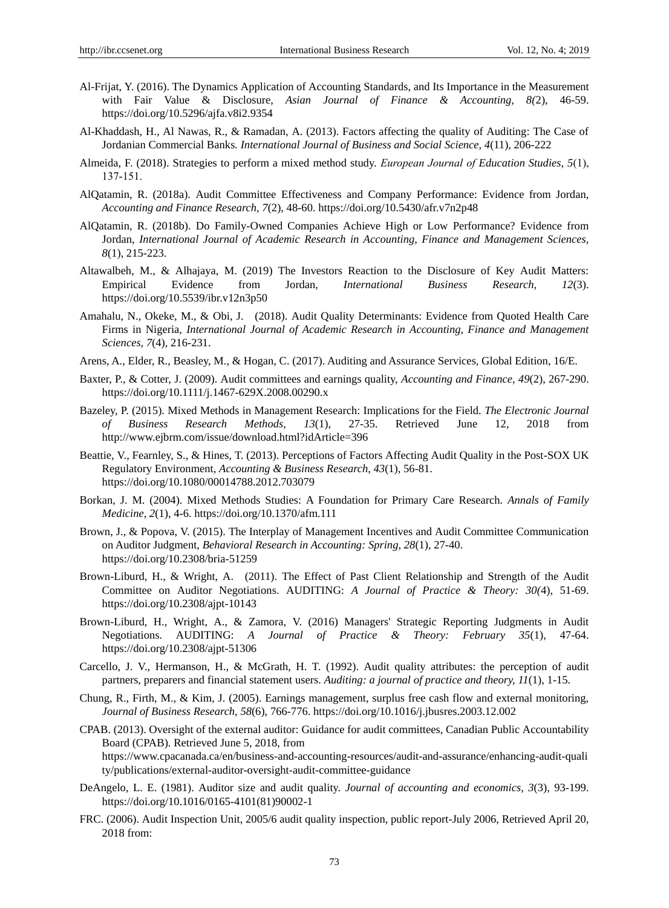- Al-Frijat, Y. (2016). The Dynamics Application of Accounting Standards, and Its Importance in the Measurement with Fair Value & Disclosure, *Asian Journal of Finance & Accounting, 8(*2), 46-59. https://doi.org/10.5296/ajfa.v8i2.9354
- Al-Khaddash, H., Al Nawas, R., & Ramadan, A. (2013). Factors affecting the quality of Auditing: The Case of Jordanian Commercial Banks*. International Journal of Business and Social Science, 4*(11), 206-222
- Almeida, F. (2018). Strategies to perform a mixed method study. *European Journal of Education Studies, 5*(1), 137-151.
- AlQatamin, R. (2018a). Audit Committee Effectiveness and Company Performance: Evidence from Jordan, *Accounting and Finance Research, 7*(2), 48-60. https://doi.org/10.5430/afr.v7n2p48
- AlQatamin, R. (2018b). Do Family-Owned Companies Achieve High or Low Performance? Evidence from Jordan, *International Journal of Academic Research in Accounting, Finance and Management Sciences, 8*(1), 215-223.
- Altawalbeh, M., & Alhajaya, M. (2019) The Investors Reaction to the Disclosure of Key Audit Matters: Empirical Evidence from Jordan, *International Business Research, 12*(3). https://doi.org/10.5539/ibr.v12n3p50
- Amahalu, N., Okeke, M., & Obi, J. (2018). Audit Quality Determinants: Evidence from Quoted Health Care Firms in Nigeria, *International Journal of Academic Research in Accounting, Finance and Management Sciences, 7*(4), 216-231.
- Arens, A., Elder, R., Beasley, M., & Hogan, C. (2017). Auditing and Assurance Services, Global Edition, 16/E.
- Baxter, P., & Cotter, J. (2009). Audit committees and earnings quality, *Accounting and Finance, 49*(2), 267-290. https://doi.org/10.1111/j.1467-629X.2008.00290.x
- Bazeley, P. (2015). Mixed Methods in Management Research: Implications for the Field. *The Electronic Journal of Business Research Methods, 13*(1), 27-35. Retrieved June 12, 2018 from <http://www.ejbrm.com/issue/download.html?idArticle=396>
- Beattie, V., Fearnley, S., & Hines, T. (2013). Perceptions of Factors Affecting Audit Quality in the Post-SOX UK Regulatory Environment, *Accounting & Business Research, 43*(1), 56-81. https://doi.org/10.1080/00014788.2012.703079
- Borkan, J. M. (2004). Mixed Methods Studies: A Foundation for Primary Care Research. *Annals of Family Medicine, 2*(1), 4-6. https://doi.org/10.1370/afm.111
- Brown, J., & Popova, V. (2015). The Interplay of Management Incentives and Audit Committee Communication on Auditor Judgment, *Behavioral Research in Accounting: Spring, 28*(1), 27-40. https://doi.org/10.2308/bria-51259
- Brown-Liburd, H., & Wright, A. (2011). The Effect of Past Client Relationship and Strength of the Audit Committee on Auditor Negotiations. AUDITING: *A Journal of Practice & Theory: 30(*4), 51-69. <https://doi.org/10.2308/ajpt-10143>
- Brown-Liburd, H., Wright, A., & Zamora, V. (2016) Managers' Strategic Reporting Judgments in Audit Negotiations. AUDITING: *A Journal of Practice & Theory: February 35*(1), 47-64. <https://doi.org/10.2308/ajpt-51306>
- Carcello, J. V., Hermanson, H., & McGrath, H. T. (1992). Audit quality attributes: the perception of audit partners, preparers and financial statement users. *Auditing: a journal of practice and theory, 11*(1), 1-15.
- Chung, R., Firth, M., & Kim, J. (2005). Earnings management, surplus free cash flow and external monitoring, *Journal of Business Research, 58*(6), 766-776. https://doi.org/10.1016/j.jbusres.2003.12.002
- CPAB. (2013). Oversight of the external auditor: Guidance for audit committees, Canadian Public Accountability Board (CPAB). Retrieved June 5, 2018, from https://www.cpacanada.ca/en/business-and-accounting-resources/audit-and-assurance/enhancing-audit-quali ty/publications/external-auditor-oversight-audit-committee-guidance
- DeAngelo, L. E. (1981). Auditor size and audit quality. *Journal of accounting and economics, 3*(3), 93-199. [https://doi.org/10.1016/0165-4101\(81\)90002-1](https://doi-org.ezproxy.usq.edu.au/10.1016/0165-4101(81)90002-1)
- FRC. (2006). Audit Inspection Unit, 2005/6 audit quality inspection, public report-July 2006, Retrieved April 20, 2018 from: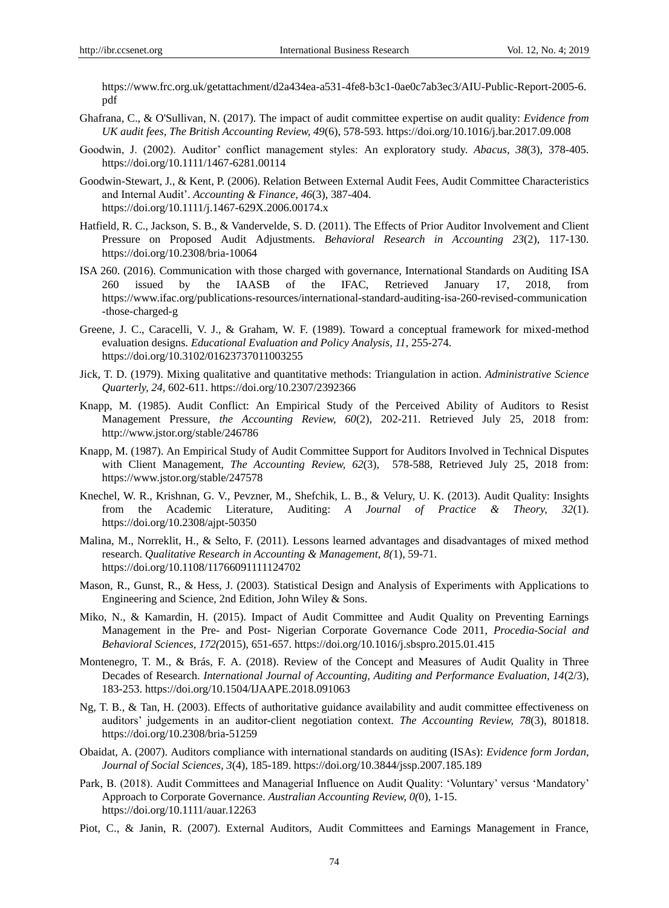[https://www.frc.org.uk/getattachment/d2a434ea-a531-4fe8-b3c1-0ae0c7ab3ec3/AIU-Public-Report-2005-6.](https://www.frc.org.uk/getattachment/d2a434ea-a531-4fe8-b3c1-0ae0c7ab3ec3/AIU-Public-Report-2005-6.pdf) [pdf](https://www.frc.org.uk/getattachment/d2a434ea-a531-4fe8-b3c1-0ae0c7ab3ec3/AIU-Public-Report-2005-6.pdf)

- Ghafrana, C., & O'Sullivan, N. (2017). The impact of audit committee expertise on audit quality: *Evidence from UK audit fees, The British Accounting Review, 49*(6), 578-593.<https://doi.org/10.1016/j.bar.2017.09.008>
- Goodwin, J. (2002). Auditor" conflict management styles: An exploratory study. *Abacus, 38*(3), 378-405. <https://doi.org/10.1111/1467-6281.00114>
- Goodwin-Stewart, J., & Kent, P. (2006). Relation Between External Audit Fees, Audit Committee Characteristics and Internal Audit". *Accounting & Finance, 46*(3), 387-404. https://doi.org/10.1111/j.1467-629X.2006.00174.x
- Hatfield, R. C., Jackson, S. B., & Vandervelde, S. D. (2011). The Effects of Prior Auditor Involvement and Client Pressure on Proposed Audit Adjustments. *Behavioral Research in Accounting 23*(2), 117-130. <https://doi.org/10.2308/bria-10064>
- ISA 260. (2016). Communication with those charged with governance, International Standards on Auditing ISA 260 issued by the IAASB of the IFAC, Retrieved January 17, 2018, from [https://www.ifac.org/publications-resources/international-standard-auditing-isa-260-revised-communication](https://www.ifac.org/publications-resources/international-standard-auditing-isa-260-revised-communication-those-charged-g) [-those-charged-g](https://www.ifac.org/publications-resources/international-standard-auditing-isa-260-revised-communication-those-charged-g)
- Greene, J. C., Caracelli, V. J., & Graham, W. F. (1989). Toward a conceptual framework for mixed-method evaluation designs. *Educational Evaluation and Policy Analysis, 11*, 255-274. https://doi.org/10.3102/01623737011003255
- Jick, T. D. (1979). Mixing qualitative and quantitative methods: Triangulation in action. *Administrative Science Quarterly, 24,* 602-611. https://doi.org/10.2307/2392366
- Knapp, M. (1985). Audit Conflict: An Empirical Study of the Perceived Ability of Auditors to Resist Management Pressure, *the Accounting Review, 60*(2), 202-211. Retrieved July 25, 2018 from: <http://www.jstor.org/stable/246786>
- Knapp, M. (1987). An Empirical Study of Audit Committee Support for Auditors Involved in Technical Disputes with Client Management, *The Accounting Review, 62*(3), 578-588, Retrieved July 25, 2018 from: https://www.jstor.org/stable/247578
- Knechel, W. R., Krishnan, G. V., Pevzner, M., Shefchik, L. B., & Velury, U. K. (2013). Audit Quality: Insights from the Academic Literature, Auditing: *A Journal of Practice & Theory, 32*(1). https://doi.org/10.2308/ajpt-50350
- Malina, M., Norreklit, H., & Selto, F. (2011). Lessons learned advantages and disadvantages of mixed method research. *Qualitative Research in Accounting & Management, 8(*1), 59-71. <https://doi.org/10.1108/11766091111124702>
- Mason, R., Gunst, R., & Hess, J. (2003). Statistical Design and Analysis of Experiments with Applications to Engineering and Science, 2nd Edition, John Wiley & Sons.
- Miko, N., & Kamardin, H. (2015). Impact of Audit Committee and Audit Quality on Preventing Earnings Management in the Pre- and Post- Nigerian Corporate Governance Code 2011, *Procedia-Social and Behavioral Sciences, 172(*2015), 651-657. https://doi.org/10.1016/j.sbspro.2015.01.415
- Montenegro, T. M., & Brás, F. A. (2018). Review of the Concept and Measures of Audit Quality in Three Decades of Research. *International Journal of Accounting, Auditing and Performance Evaluation, 14*(2/3), 183-253. https://doi.org/10.1504/IJAAPE.2018.091063
- Ng, T. B., & Tan, H. (2003). Effects of authoritative guidance availability and audit committee effectiveness on auditors" judgements in an auditor-client negotiation context. *The Accounting Review, 78*(3), 801818. <https://doi.org/10.2308/bria-51259>
- Obaidat, A. (2007). Auditors compliance with international standards on auditing (ISAs): *Evidence form Jordan, Journal of Social Sciences, 3*(4), 185-189. https://doi.org/10.3844/jssp.2007.185.189
- Park, B. (2018). Audit Committees and Managerial Influence on Audit Quality: "Voluntary" versus "Mandatory" Approach to Corporate Governance. *Australian Accounting Review, 0(*0), 1-15. https://doi.org/10.1111/auar.12263
- Piot, C., & Janin, R. (2007). External Auditors, Audit Committees and Earnings Management in France,